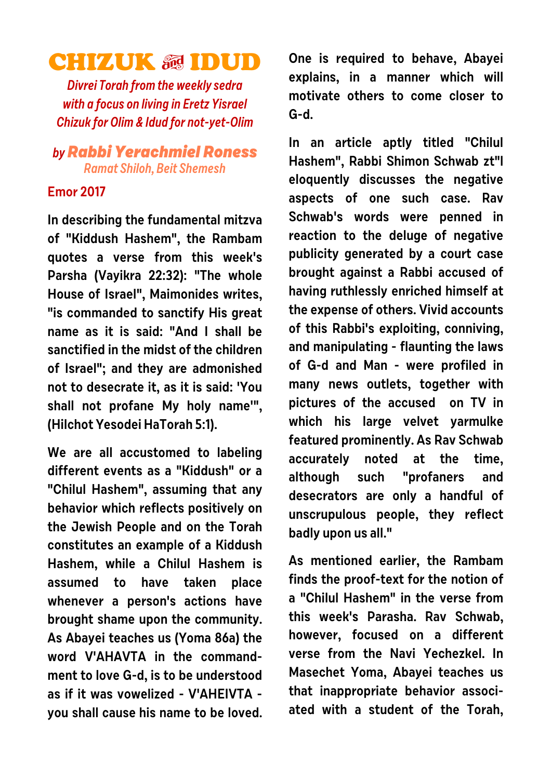## **CHIZUK & IDUD**

**Divrei Torah from the weekly sedra with a focus on living in Eretz Yisrael Chizuk for Olim & Idud for not-yet-Olim**

## **byRabbi Yerachmiel Roness Ramat Shiloh, Beit Shemesh**

## **Emor 2017**

**In describing the fundamental mitzva of "Kiddush Hashem", the Rambam quotes a verse from this week's Parsha (Vayikra 22:32): "The whole House of Israel", Maimonides writes, "is commanded to sanctify His great name as it is said: "And I shall be sanctified in the midst of the children of Israel"; and they are admonished not to desecrate it, as it is said: 'You shall not profane My holy name'", (Hilchot Yesodei HaTorah 5:1).**

**We are all accustomed to labeling different events as a "Kiddush" or a "Chilul Hashem", assuming that any behavior which reflects positively on the Jewish People and on the Torah constitutes an example of a Kiddush Hashem, while a Chilul Hashem is assumed to have taken place whenever a person's actions have brought shame upon the community. As Abayei teaches us (Yoma 86a) the word V'AHAVTA in the commandment to love G-d, is to be understood as if it was vowelized - V'AHEIVTA you shall cause his name to be loved.** **One is required to behave, Abayei explains, in a manner which will motivate others to come closer to G-d.** 

**In an article aptly titled "Chilul Hashem", Rabbi Shimon Schwab zt"l eloquently discusses the negative aspects of one such case. Rav Schwab's words were penned in reaction to the deluge of negative publicity generated by a court case brought against a Rabbi accused of having ruthlessly enriched himself at the expense of others. Vivid accounts of this Rabbi's exploiting, conniving, and manipulating - flaunting the laws of G-d and Man - were profiled in many news outlets, together with pictures of the accused on TV in which his large velvet yarmulke featured prominently. As Rav Schwab accurately noted at the time, although such "profaners and desecrators are only a handful of unscrupulous people, they reflect badly upon us all."**

**As mentioned earlier, the Rambam finds the proof-text for the notion of a "Chilul Hashem" in the verse from this week's Parasha. Rav Schwab, however, focused on a different verse from the Navi Yechezkel. In Masechet Yoma, Abayei teaches us that inappropriate behavior associated with a student of the Torah,**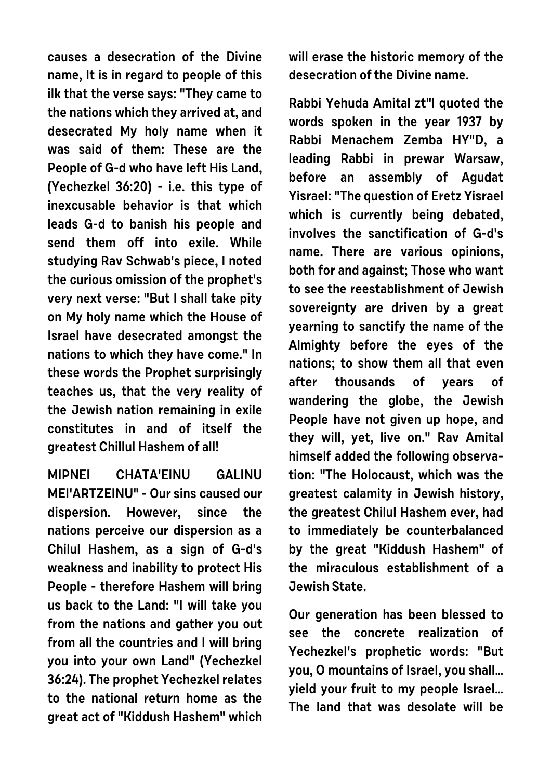**causes a desecration of the Divine name, It is in regard to people of this ilk that the verse says: "They came to the nations which they arrived at, and desecrated My holy name when it was said of them: These are the People of G-d who have left His Land, (Yechezkel 36:20) - i.e. this type of inexcusable behavior is that which leads G-d to banish his people and send them off into exile. While studying Rav Schwab's piece, I noted the curious omission of the prophet's very next verse: "But I shall take pity on My holy name which the House of Israel have desecrated amongst the nations to which they have come." In these words the Prophet surprisingly teaches us, that the very reality of the Jewish nation remaining in exile constitutes in and of itself the greatest Chillul Hashem of all!** 

**MIPNEI CHATA'EINU GALINU MEI'ARTZEINU" - Our sins caused our dispersion. However, since the nations perceive our dispersion as a Chilul Hashem, as a sign of G-d's weakness and inability to protect His People - therefore Hashem will bring us back to the Land: "I will take you from the nations and gather you out from all the countries and I will bring you into your own Land" (Yechezkel 36:24). The prophet Yechezkel relates to the national return home as the great act of "Kiddush Hashem" which** **will erase the historic memory of the desecration of the Divine name.**

**Rabbi Yehuda Amital zt"l quoted the words spoken in the year 1937 by Rabbi Menachem Zemba HY"D, a leading Rabbi in prewar Warsaw, before an assembly of Agudat Yisrael: "The question of Eretz Yisrael which is currently being debated, involves the sanctification of G-d's name. There are various opinions, both for and against; Those who want to see the reestablishment of Jewish sovereignty are driven by a great yearning to sanctify the name of the Almighty before the eyes of the nations; to show them all that even after thousands of years of wandering the globe, the Jewish People have not given up hope, and they will, yet, live on." Rav Amital himself added the following observation: "The Holocaust, which was the greatest calamity in Jewish history, the greatest Chilul Hashem ever, had to immediately be counterbalanced by the great "Kiddush Hashem" of the miraculous establishment of a Jewish State.**

**Our generation has been blessed to see the concrete realization of Yechezkel's prophetic words: "But you, O mountains of Israel, you shall… yield your fruit to my people Israel… The land that was desolate will be**